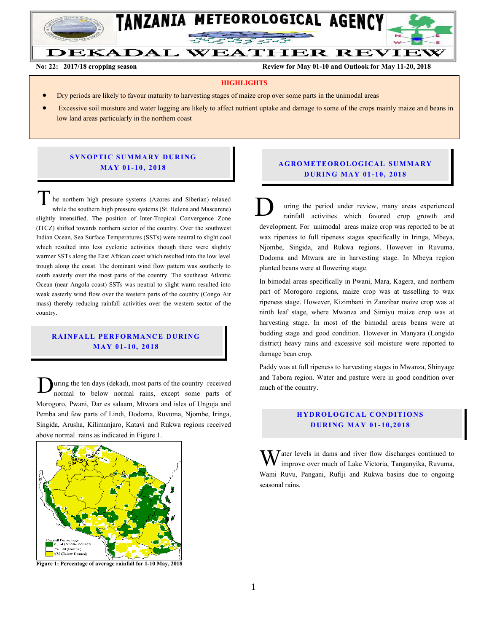

**No: 22: 2017/18 cropping season Review for May 01-10 and Outlook for May 11-20, 2018**

#### **HIGHLIGHTS**

- Dry periods are likely to favour maturity to harvesting stages of maize crop over some parts in the unimodal areas
- Excessive soil moisture and water logging are likely to affect nutrient uptake and damage to some of the crops mainly maize and beans in low land areas particularly in the northern coast

#### **SYNOPTIC SUMMARY DURING MA Y 01- 10, 2018**

he northern high pressure systems (Azores and Siberian) relaxed while the southern high pressure systems (St. Helena and Mascarene) slightly intensified. The position of Inter-Tropical Convergence Zone (ITCZ) shifted towards northern sector of the country. Over the southwest Indian Ocean, Sea Surface Temperatures (SSTs) were neutral to slight cool which resulted into less cyclonic activities though there were slightly warmer SSTs along the East African coast which resulted into the low level trough along the coast. The dominant wind flow pattern was southerly to south easterly over the most parts of the country. The southeast Atlantic Ocean (near Angola coast) SSTs was neutral to slight warm resulted into weak easterly wind flow over the western parts of the country (Congo Air mass) thereby reducing rainfall activities over the western sector of the country. The northern high pressure systems (Azores and Siberian) relaxed<br>while the southern high pressure systems (St. Helena and Mascarene)<br>slightly intensified. The position of Inter-Tropical Convergence Zone

# **RAINFALL PERFORMANCE DURING MA Y 01- 10, 201 8**

uring the ten days (dekad), most parts of the country received normal to below normal rains, except some parts of Morogoro, Pwani, Dar es salaam, Mtwara and isles of Unguja and Pemba and few parts of Lindi, Dodoma, Ruvuma, Njombe, Iringa, Singida, Arusha, Kilimanjaro, Katavi and Rukwa regions received above normal rains as indicated in Figure 1. D



**Figure 1: Percentage of average rainfall for 1-10 May, 2018**

# **A G RO METEO R O LOG ICA L SU MMA RY D UR ING MA Y 01- 10, 2018**

uring the period under review, many areas experienced rainfall activities which favored crop growth and development. For unimodal areas maize crop was reported to be at wax ripeness to full ripeness stages specifically in Iringa, Mbeya, Njombe, Singida, and Rukwa regions. However in Ruvuma, Dodoma and Mtwara are in harvesting stage. In Mbeya region planted beans were at flowering stage.

In bimodal areas specifically in Pwani, Mara, Kagera, and northern part of Morogoro regions, maize crop was at tasselling to wax ripeness stage. However, Kizimbani in Zanzibar maize crop was at ninth leaf stage, where Mwanza and Simiyu maize crop was at harvesting stage. In most of the bimodal areas beans were at budding stage and good condition. However in Manyara (Longido district) heavy rains and excessive soil moisture were reported to damage bean crop.

Paddy was at full ripeness to harvesting stages in Mwanza, Shinyage and Tabora region. Water and pasture were in good condition over much of the country.

# **HYDROLOGICAL CONDITIONS D UR ING MA Y 01- 1 0, 2018**

 $\bar{J}$  ater levels in dams and river flow discharges continued to improve over much of Lake Victoria, Tanganyika, Ruvuma, Wami Ruvu, Pangani, Rufiji and Rukwa basins due to ongoing seasonal rains. W<sub>w</sub>